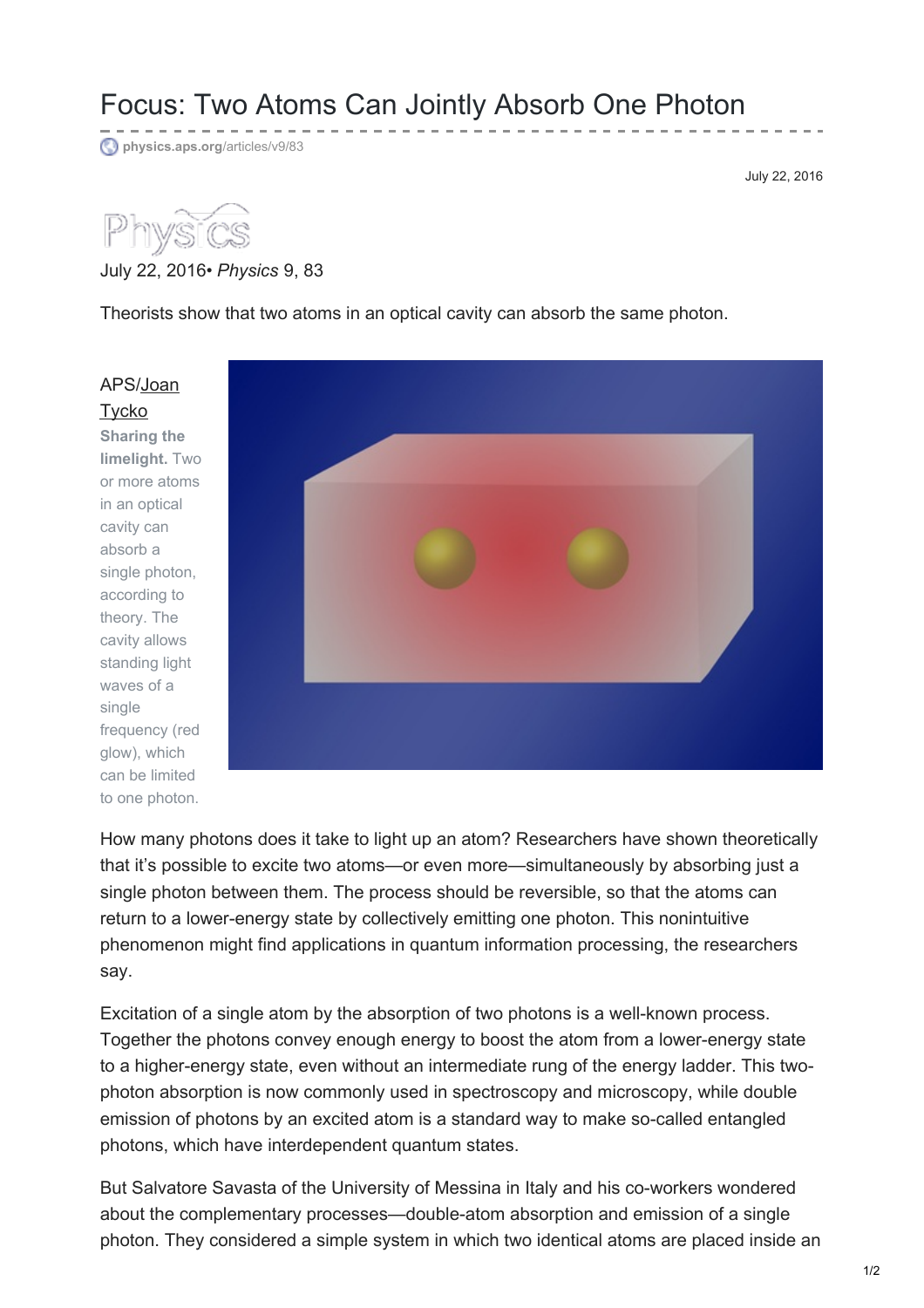## Focus: Two Atoms Can Jointly Absorb One Photon

**[physics.aps.org](https://physics.aps.org/articles/v9/83)**/articles/v9/83

July 22, 2016



## July 22, 2016• *Physics* 9, 83

Theorists show that two atoms in an optical cavity can absorb the same photon.

[APS/Joan](http://www.tyckoart.com/about_TMBA.html) **Tycko Sharing the limelight.** Two or more atoms in an optical cavity can absorb a single photon, according to theory. The cavity allows standing light waves of a single frequency (red glow), which can be limited to one photon.



How many photons does it take to light up an atom? Researchers have shown theoretically that it's possible to excite two atoms—or even more—simultaneously by absorbing just a single photon between them. The process should be reversible, so that the atoms can return to a lower-energy state by collectively emitting one photon. This nonintuitive phenomenon might find applications in quantum information processing, the researchers say.

Excitation of a single atom by the absorption of two photons is a well-known process. Together the photons convey enough energy to boost the atom from a lower-energy state to a higher-energy state, even without an intermediate rung of the energy ladder. This twophoton absorption is now commonly used in spectroscopy and microscopy, while double emission of photons by an excited atom is a standard way to make so-called entangled photons, which have interdependent quantum states.

But Salvatore Savasta of the University of Messina in Italy and his co-workers wondered about the complementary processes—double-atom absorption and emission of a single photon. They considered a simple system in which two identical atoms are placed inside an